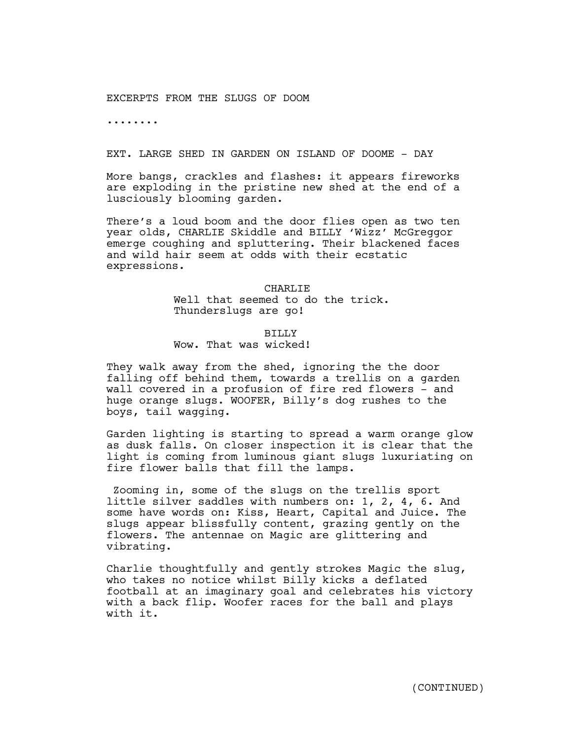# EXCERPTS FROM THE SLUGS OF DOOM

........

## EXT. LARGE SHED IN GARDEN ON ISLAND OF DOOME - DAY

More bangs, crackles and flashes: it appears fireworks are exploding in the pristine new shed at the end of a lusciously blooming garden.

There's a loud boom and the door flies open as two ten year olds, CHARLIE Skiddle and BILLY 'Wizz' McGreggor emerge coughing and spluttering. Their blackened faces and wild hair seem at odds with their ecstatic expressions.

> CHARLIE Well that seemed to do the trick. Thunderslugs are go!

## BILLY

# Wow. That was wicked!

They walk away from the shed, ignoring the the door falling off behind them, towards a trellis on a garden wall covered in a profusion of fire red flowers - and huge orange slugs. WOOFER, Billy's dog rushes to the boys, tail wagging.

Garden lighting is starting to spread a warm orange glow as dusk falls. On closer inspection it is clear that the light is coming from luminous giant slugs luxuriating on fire flower balls that fill the lamps.

Zooming in, some of the slugs on the trellis sport little silver saddles with numbers on: 1, 2, 4, 6. And some have words on: Kiss, Heart, Capital and Juice. The slugs appear blissfully content, grazing gently on the flowers. The antennae on Magic are glittering and vibrating.

Charlie thoughtfully and gently strokes Magic the slug, who takes no notice whilst Billy kicks a deflated football at an imaginary goal and celebrates his victory with a back flip. Woofer races for the ball and plays with it.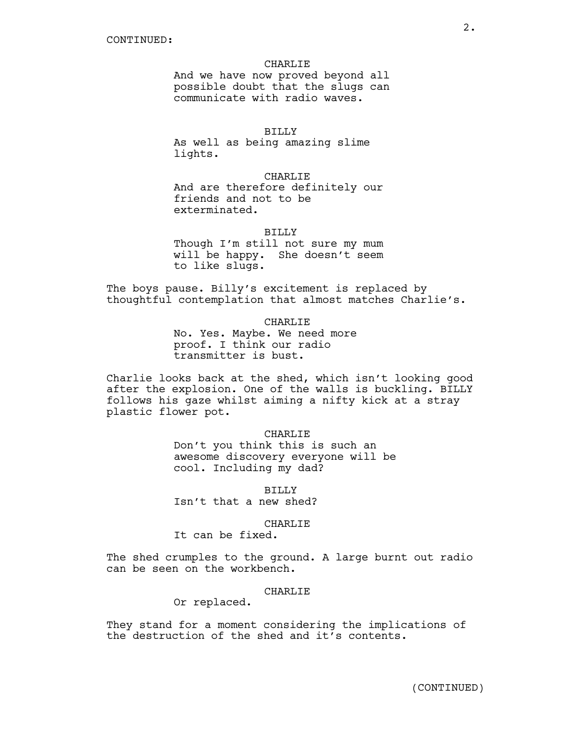#### CHARLIE

And we have now proved beyond all possible doubt that the slugs can communicate with radio waves.

## BILLY

As well as being amazing slime lights.

CHARLIE

And are therefore definitely our friends and not to be exterminated.

## BILLY

Though I'm still not sure my mum will be happy. She doesn't seem to like slugs.

The boys pause. Billy's excitement is replaced by thoughtful contemplation that almost matches Charlie's.

CHARLIE

No. Yes. Maybe. We need more proof. I think our radio transmitter is bust.

Charlie looks back at the shed, which isn't looking good after the explosion. One of the walls is buckling. BILLY follows his gaze whilst aiming a nifty kick at a stray plastic flower pot.

## CHARLIE

Don't you think this is such an awesome discovery everyone will be cool. Including my dad?

BILLY Isn't that a new shed?

#### CHARLIE

It can be fixed.

The shed crumples to the ground. A large burnt out radio can be seen on the workbench.

# CHARLIE

Or replaced.

They stand for a moment considering the implications of the destruction of the shed and it's contents.

2.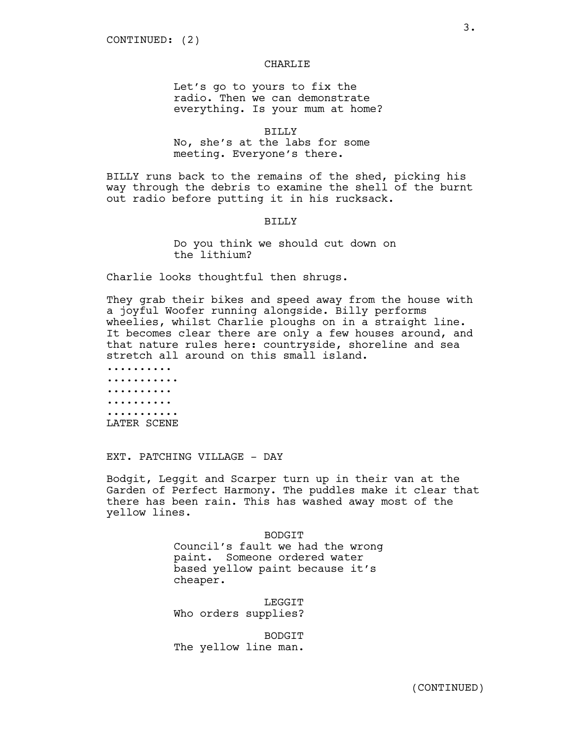#### CHARLIE

Let's go to yours to fix the radio. Then we can demonstrate everything. Is your mum at home?

BILLY

No, she's at the labs for some meeting. Everyone's there.

BILLY runs back to the remains of the shed, picking his way through the debris to examine the shell of the burnt out radio before putting it in his rucksack.

BILLY

Do you think we should cut down on the lithium?

Charlie looks thoughtful then shrugs.

They grab their bikes and speed away from the house with a joyful Woofer running alongside. Billy performs wheelies, whilst Charlie ploughs on in a straight line. It becomes clear there are only a few houses around, and that nature rules here: countryside, shoreline and sea stretch all around on this small island.

.......... ........... .......... .......... ........... LATER SCENE

EXT. PATCHING VILLAGE - DAY

Bodgit, Leggit and Scarper turn up in their van at the Garden of Perfect Harmony. The puddles make it clear that there has been rain. This has washed away most of the yellow lines.

> BODGIT Council's fault we had the wrong paint. Someone ordered water based yellow paint because it's cheaper.

LEGGIT Who orders supplies?

BODGIT The yellow line man.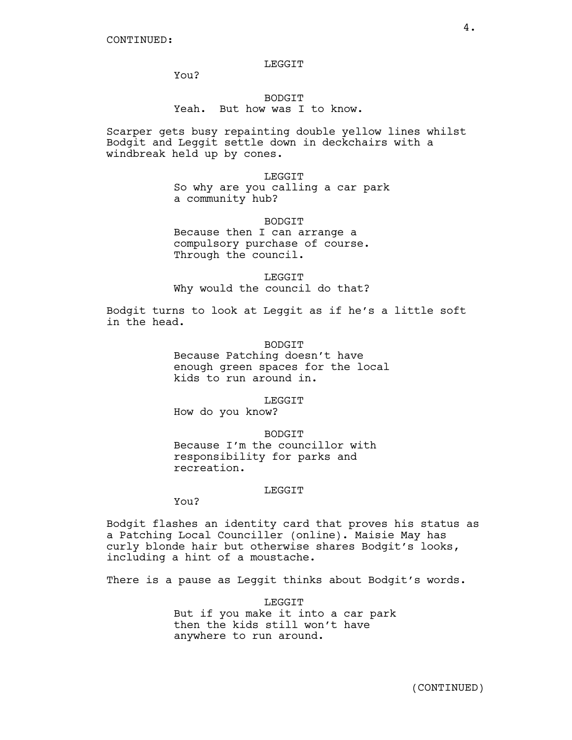### **LEGGIT**

You?

# BODGIT Yeah. But how was I to know.

Scarper gets busy repainting double yellow lines whilst Bodgit and Leggit settle down in deckchairs with a windbreak held up by cones.

> LEGGIT So why are you calling a car park a community hub?

> > BODGIT

Because then I can arrange a compulsory purchase of course. Through the council.

**LEGGIT** Why would the council do that?

Bodgit turns to look at Leggit as if he's a little soft in the head.

> BODGIT Because Patching doesn't have enough green spaces for the local kids to run around in.

LEGGIT How do you know?

**BODGIT** Because I'm the councillor with responsibility for parks and recreation.

## LEGGIT

You?

Bodgit flashes an identity card that proves his status as a Patching Local Counciller (online). Maisie May has curly blonde hair but otherwise shares Bodgit's looks, including a hint of a moustache.

There is a pause as Leggit thinks about Bodgit's words.

LEGGIT But if you make it into a car park then the kids still won't have anywhere to run around.